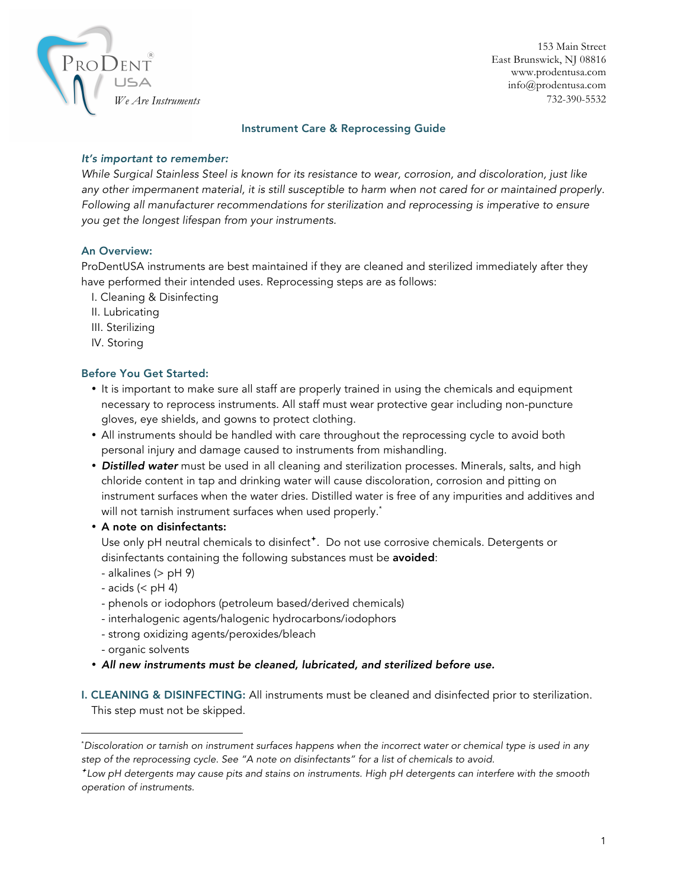

153 Main Street East Brunswick, NJ 08816 www.prodentusa.com info@prodentusa.com 732-390-5532

### Instrument Care & Reprocessing Guide

## *It's important to remember:*

*While Surgical Stainless Steel is known for its resistance to wear, corrosion, and discoloration, just like any other impermanent material, it is still susceptible to harm when not cared for or maintained properly. Following all manufacturer recommendations for sterilization and reprocessing is imperative to ensure you get the longest lifespan from your instruments.* 

## An Overview:

ProDentUSA instruments are best maintained if they are cleaned and sterilized immediately after they have performed their intended uses. Reprocessing steps are as follows:

- I. Cleaning & Disinfecting
- II. Lubricating
- III. Sterilizing
- IV. Storing

## Before You Get Started:

- It is important to make sure all staff are properly trained in using the chemicals and equipment necessary to reprocess instruments. All staff must wear protective gear including non-puncture gloves, eye shields, and gowns to protect clothing.
- All instruments should be handled with care throughout the reprocessing cycle to avoid both personal injury and damage caused to instruments from mishandling.
- *Distilled water* must be used in all cleaning and sterilization processes. Minerals, salts, and high chloride content in tap and drinking water will cause discoloration, corrosion and pitting on instrument surfaces when the water dries. Distilled water is free of any impurities and additives and will not tarnish instrument surfaces when used properly. \*
- A note on disinfectants:

Use only pH neutral chemicals to disinfect<sup>+</sup>. Do not use corrosive chemicals. Detergents or disinfectants containing the following substances must be avoided:

- alkalines (> pH 9)
- $-$  acids ( $<$  pH 4)
- phenols or iodophors (petroleum based/derived chemicals)
- interhalogenic agents/halogenic hydrocarbons/iodophors
- strong oxidizing agents/peroxides/bleach
- organic solvents

 

- *All new instruments must be cleaned, lubricated, and sterilized before use.*
- I. CLEANING & DISINFECTING: All instruments must be cleaned and disinfected prior to sterilization. This step must not be skipped.

<sup>\*</sup> *Discoloration or tarnish on instrument surfaces happens when the incorrect water or chemical type is used in any step of the reprocessing cycle*. *See "A note on disinfectants" for a list of chemicals to avoid.* 

<sup>ª</sup> *Low pH detergents may cause pits and stains on instruments. High pH detergents can interfere with the smooth operation of instruments.*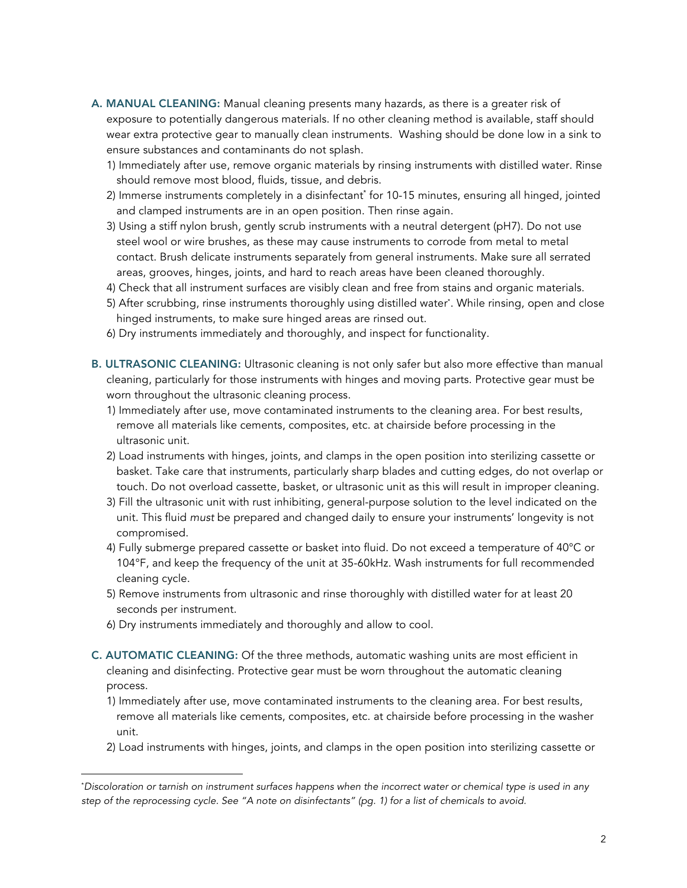- A. MANUAL CLEANING: Manual cleaning presents many hazards, as there is a greater risk of exposure to potentially dangerous materials. If no other cleaning method is available, staff should wear extra protective gear to manually clean instruments. Washing should be done low in a sink to ensure substances and contaminants do not splash.
	- 1) Immediately after use, remove organic materials by rinsing instruments with distilled water. Rinse should remove most blood, fluids, tissue, and debris.
	- 2) Immerse instruments completely in a disinfectant\* for 10-15 minutes, ensuring all hinged, jointed and clamped instruments are in an open position. Then rinse again.
	- 3) Using a stiff nylon brush, gently scrub instruments with a neutral detergent (pH7). Do not use steel wool or wire brushes, as these may cause instruments to corrode from metal to metal contact. Brush delicate instruments separately from general instruments. Make sure all serrated areas, grooves, hinges, joints, and hard to reach areas have been cleaned thoroughly.
	- 4) Check that all instrument surfaces are visibly clean and free from stains and organic materials.
	- 5) After scrubbing, rinse instruments thoroughly using distilled water\* . While rinsing, open and close hinged instruments, to make sure hinged areas are rinsed out.
	- 6) Dry instruments immediately and thoroughly, and inspect for functionality.
- B. ULTRASONIC CLEANING: Ultrasonic cleaning is not only safer but also more effective than manual cleaning, particularly for those instruments with hinges and moving parts. Protective gear must be worn throughout the ultrasonic cleaning process.
	- 1) Immediately after use, move contaminated instruments to the cleaning area. For best results, remove all materials like cements, composites, etc. at chairside before processing in the ultrasonic unit.
	- 2) Load instruments with hinges, joints, and clamps in the open position into sterilizing cassette or basket. Take care that instruments, particularly sharp blades and cutting edges, do not overlap or touch. Do not overload cassette, basket, or ultrasonic unit as this will result in improper cleaning.
	- 3) Fill the ultrasonic unit with rust inhibiting, general-purpose solution to the level indicated on the unit. This fluid *must* be prepared and changed daily to ensure your instruments' longevity is not compromised.
	- 4) Fully submerge prepared cassette or basket into fluid. Do not exceed a temperature of 40°C or 104°F, and keep the frequency of the unit at 35-60kHz. Wash instruments for full recommended cleaning cycle.
	- 5) Remove instruments from ultrasonic and rinse thoroughly with distilled water for at least 20 seconds per instrument.
	- 6) Dry instruments immediately and thoroughly and allow to cool.

 

- C. AUTOMATIC CLEANING: Of the three methods, automatic washing units are most efficient in cleaning and disinfecting. Protective gear must be worn throughout the automatic cleaning process.
	- 1) Immediately after use, move contaminated instruments to the cleaning area. For best results, remove all materials like cements, composites, etc. at chairside before processing in the washer unit.
	- 2) Load instruments with hinges, joints, and clamps in the open position into sterilizing cassette or

<sup>\*</sup> *Discoloration or tarnish on instrument surfaces happens when the incorrect water or chemical type is used in any step of the reprocessing cycle. See "A note on disinfectants" (pg. 1) for a list of chemicals to avoid.*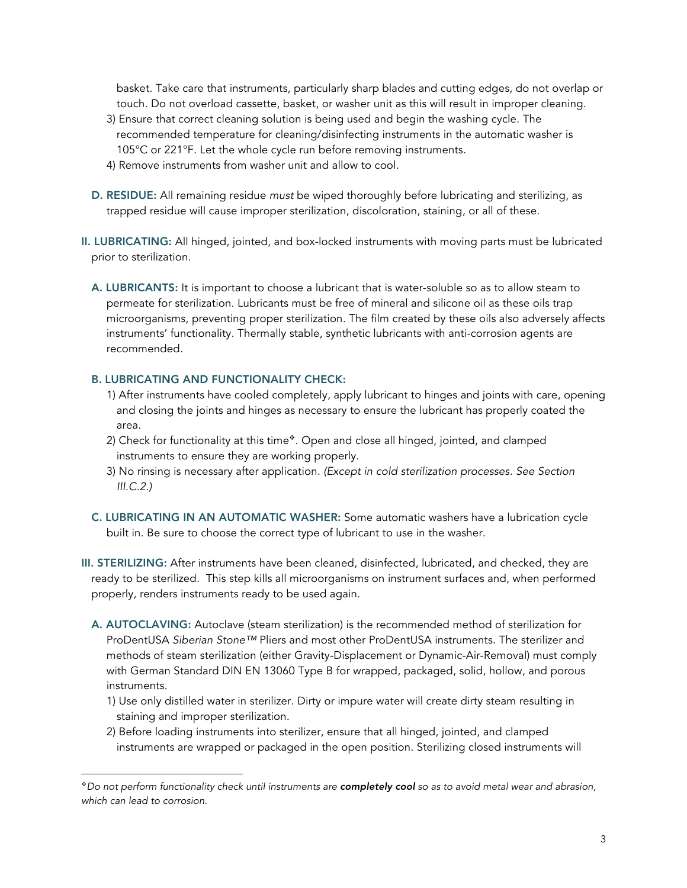basket. Take care that instruments, particularly sharp blades and cutting edges, do not overlap or touch. Do not overload cassette, basket, or washer unit as this will result in improper cleaning.

- 3) Ensure that correct cleaning solution is being used and begin the washing cycle. The recommended temperature for cleaning/disinfecting instruments in the automatic washer is 105°C or 221°F. Let the whole cycle run before removing instruments.
- 4) Remove instruments from washer unit and allow to cool.
- D. RESIDUE: All remaining residue *must* be wiped thoroughly before lubricating and sterilizing, as trapped residue will cause improper sterilization, discoloration, staining, or all of these.
- II. LUBRICATING: All hinged, jointed, and box-locked instruments with moving parts must be lubricated prior to sterilization.
	- A. LUBRICANTS: It is important to choose a lubricant that is water-soluble so as to allow steam to permeate for sterilization. Lubricants must be free of mineral and silicone oil as these oils trap microorganisms, preventing proper sterilization. The film created by these oils also adversely affects instruments' functionality. Thermally stable, synthetic lubricants with anti-corrosion agents are recommended.

#### B. LUBRICATING AND FUNCTIONALITY CHECK:

 

- 1) After instruments have cooled completely, apply lubricant to hinges and joints with care, opening and closing the joints and hinges as necessary to ensure the lubricant has properly coated the area.
- 2) Check for functionality at this time<sup>\*</sup>. Open and close all hinged, jointed, and clamped instruments to ensure they are working properly.
- 3) No rinsing is necessary after application. *(Except in cold sterilization processes. See Section III.C.2.)*
- C. LUBRICATING IN AN AUTOMATIC WASHER: Some automatic washers have a lubrication cycle built in. Be sure to choose the correct type of lubricant to use in the washer.
- III. STERILIZING: After instruments have been cleaned, disinfected, lubricated, and checked, they are ready to be sterilized. This step kills all microorganisms on instrument surfaces and, when performed properly, renders instruments ready to be used again.
	- A. AUTOCLAVING: Autoclave (steam sterilization) is the recommended method of sterilization for ProDentUSA *Siberian Stone™* Pliers and most other ProDentUSA instruments. The sterilizer and methods of steam sterilization (either Gravity-Displacement or Dynamic-Air-Removal) must comply with German Standard DIN EN 13060 Type B for wrapped, packaged, solid, hollow, and porous instruments.
		- 1) Use only distilled water in sterilizer. Dirty or impure water will create dirty steam resulting in staining and improper sterilization.
		- 2) Before loading instruments into sterilizer, ensure that all hinged, jointed, and clamped instruments are wrapped or packaged in the open position. Sterilizing closed instruments will

<sup>v</sup>*Do not perform functionality check until instruments are completely cool so as to avoid metal wear and abrasion, which can lead to corrosion.*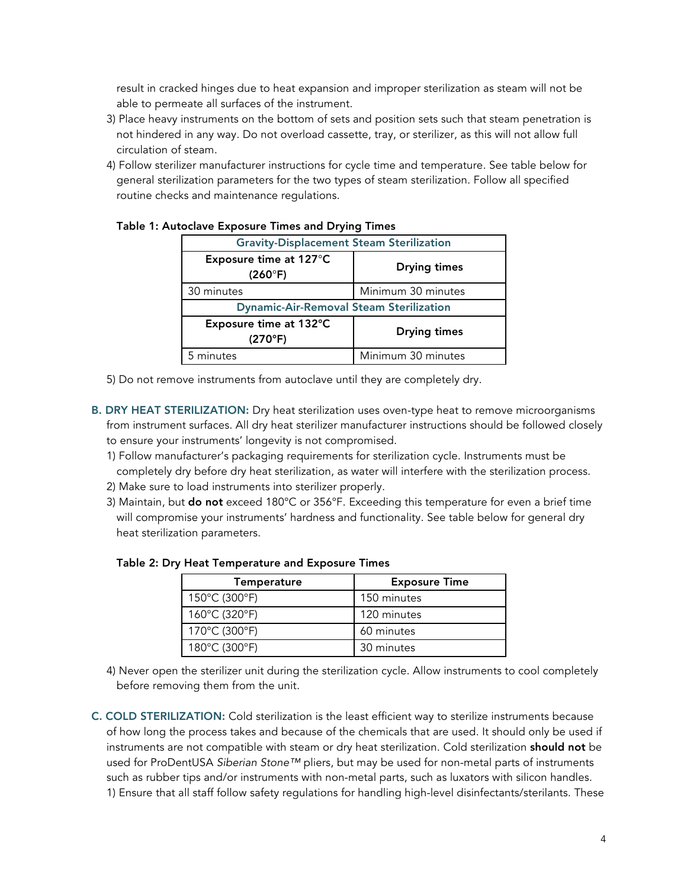result in cracked hinges due to heat expansion and improper sterilization as steam will not be able to permeate all surfaces of the instrument.

- 3) Place heavy instruments on the bottom of sets and position sets such that steam penetration is not hindered in any way. Do not overload cassette, tray, or sterilizer, as this will not allow full circulation of steam.
- 4) Follow sterilizer manufacturer instructions for cycle time and temperature. See table below for general sterilization parameters for the two types of steam sterilization. Follow all specified routine checks and maintenance regulations.

| $\frac{1}{2}$                                   |                     |  |  |
|-------------------------------------------------|---------------------|--|--|
| <b>Gravity-Displacement Steam Sterilization</b> |                     |  |  |
| Exposure time at 127°C<br>$(260^{\circ}F)$      | <b>Drying times</b> |  |  |
| 30 minutes                                      | Minimum 30 minutes  |  |  |
| <b>Dynamic-Air-Removal Steam Sterilization</b>  |                     |  |  |
| Exposure time at 132°C<br>(270°F)               | <b>Drying times</b> |  |  |
| 5 minutes                                       | Minimum 30 minutes  |  |  |

# Table 1: Autoclave Exposure Times and Drying Times

5) Do not remove instruments from autoclave until they are completely dry.

- B. DRY HEAT STERILIZATION: Dry heat sterilization uses oven-type heat to remove microorganisms from instrument surfaces. All dry heat sterilizer manufacturer instructions should be followed closely to ensure your instruments' longevity is not compromised.
	- 1) Follow manufacturer's packaging requirements for sterilization cycle. Instruments must be completely dry before dry heat sterilization, as water will interfere with the sterilization process.
	- 2) Make sure to load instruments into sterilizer properly.
	- 3) Maintain, but do not exceed 180°C or 356°F. Exceeding this temperature for even a brief time will compromise your instruments' hardness and functionality. See table below for general dry heat sterilization parameters.

|  |  | Table 2: Dry Heat Temperature and Exposure Times |  |  |  |
|--|--|--------------------------------------------------|--|--|--|
|--|--|--------------------------------------------------|--|--|--|

| Temperature                        | <b>Exposure Time</b> |
|------------------------------------|----------------------|
| $150^{\circ}$ C (300 $^{\circ}$ F) | 150 minutes          |
| 160°C (320°F)                      | 120 minutes          |
| 170°C (300°F)                      | 60 minutes           |
| 180°C (300°F)                      | 30 minutes           |

4) Never open the sterilizer unit during the sterilization cycle. Allow instruments to cool completely before removing them from the unit.

C. COLD STERILIZATION: Cold sterilization is the least efficient way to sterilize instruments because of how long the process takes and because of the chemicals that are used. It should only be used if instruments are not compatible with steam or dry heat sterilization. Cold sterilization should not be used for ProDentUSA *Siberian Stone™* pliers, but may be used for non-metal parts of instruments such as rubber tips and/or instruments with non-metal parts, such as luxators with silicon handles. 1) Ensure that all staff follow safety regulations for handling high-level disinfectants/sterilants. These